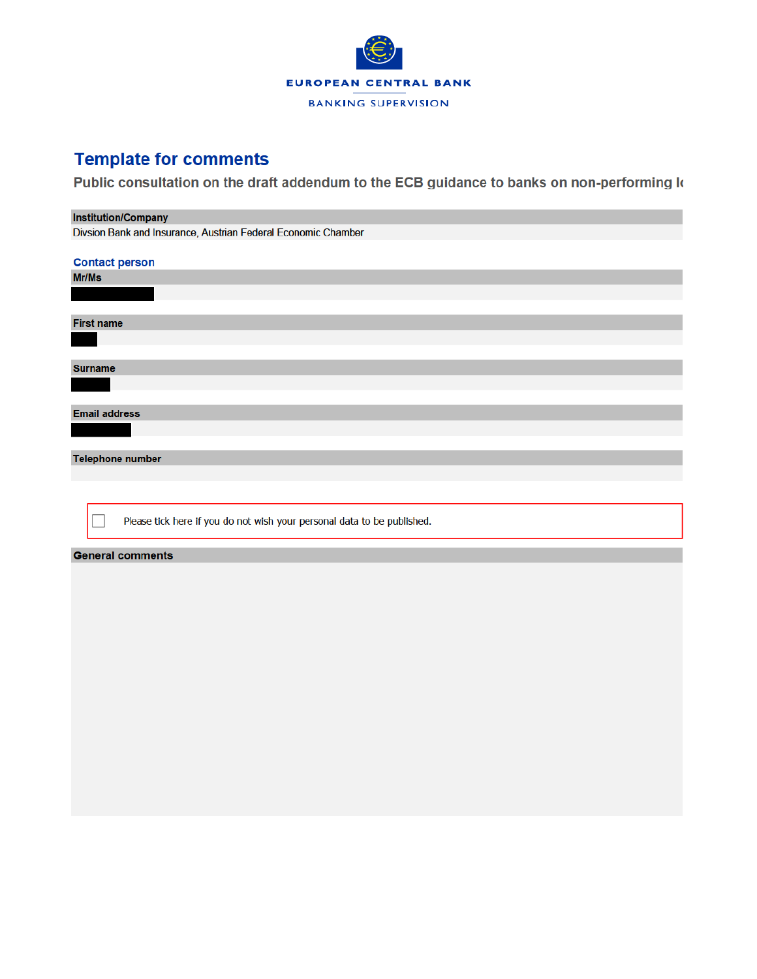

## **Template for comments**

Public consultation on the draft addendum to the ECB guidance to banks on non-performing k

## **Institution/Company**

Divsion Bank and Insurance, Austrian Federal Economic Chamber

| <b>Contact person</b>                                                   |
|-------------------------------------------------------------------------|
| Mr/Ms                                                                   |
|                                                                         |
|                                                                         |
| <b>First name</b>                                                       |
|                                                                         |
|                                                                         |
| <b>Surname</b>                                                          |
|                                                                         |
|                                                                         |
| <b>Email address</b>                                                    |
|                                                                         |
|                                                                         |
| <b>Telephone number</b>                                                 |
|                                                                         |
|                                                                         |
|                                                                         |
| Please tick here if you do not wish your personal data to be published. |
|                                                                         |
| <b>General comments</b>                                                 |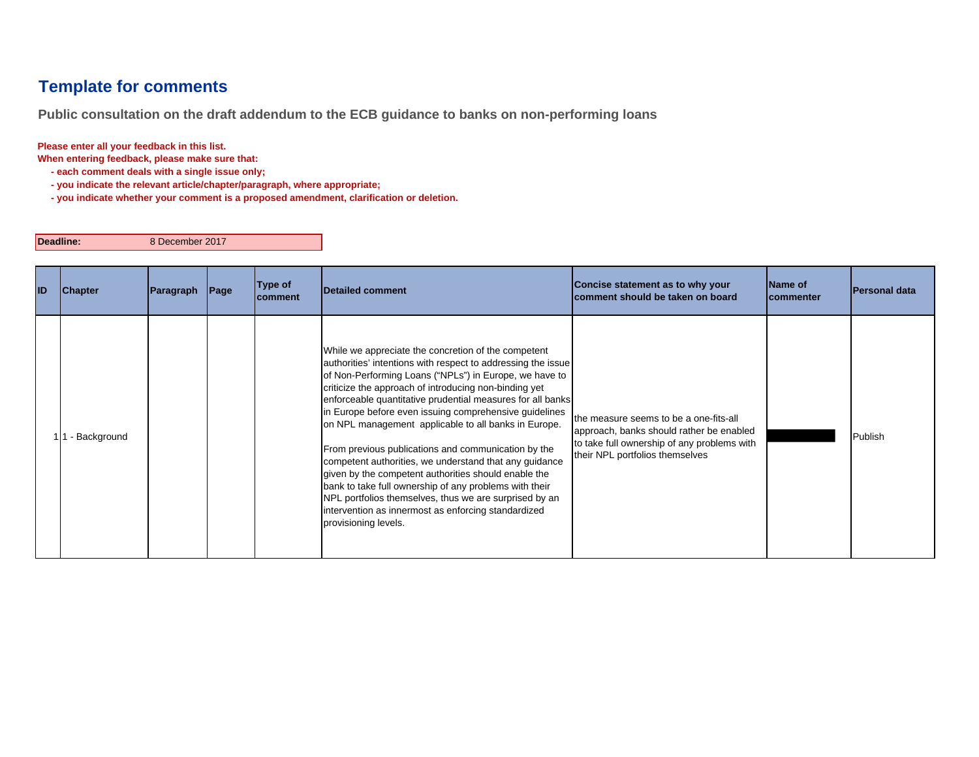## **Template for comments**

**Public consultation on the draft addendum to the ECB guidance to banks on non-performing loans**

**Please enter all your feedback in this list.**

**When entering feedback, please make sure that:** 

 **- each comment deals with a single issue only;**

 **- you indicate the relevant article/chapter/paragraph, where appropriate;**

 **- you indicate whether your comment is a proposed amendment, clarification or deletion.**

**Deadline:**

8 December 2017

| ID | <b>Chapter</b> | Paragraph | $\vert$ Page | Type of<br>Icomment | <b>Detailed comment</b>                                                                                                                                                                                                                                                                                                                                                                                                                                                                                                                                                                                                                                                                                                                                                                            | Concise statement as to why your<br>comment should be taken on board                                                                                                 | Name of<br>Icommenter | <b>Personal data</b> |
|----|----------------|-----------|--------------|---------------------|----------------------------------------------------------------------------------------------------------------------------------------------------------------------------------------------------------------------------------------------------------------------------------------------------------------------------------------------------------------------------------------------------------------------------------------------------------------------------------------------------------------------------------------------------------------------------------------------------------------------------------------------------------------------------------------------------------------------------------------------------------------------------------------------------|----------------------------------------------------------------------------------------------------------------------------------------------------------------------|-----------------------|----------------------|
|    | - Background   |           |              |                     | While we appreciate the concretion of the competent<br>authorities' intentions with respect to addressing the issue<br>of Non-Performing Loans ("NPLs") in Europe, we have to<br>criticize the approach of introducing non-binding yet<br>enforceable quantitative prudential measures for all banks<br>in Europe before even issuing comprehensive guidelines<br>on NPL management applicable to all banks in Europe.<br>From previous publications and communication by the<br>competent authorities, we understand that any guidance<br>given by the competent authorities should enable the<br>bank to take full ownership of any problems with their<br>NPL portfolios themselves, thus we are surprised by an<br>intervention as innermost as enforcing standardized<br>provisioning levels. | the measure seems to be a one-fits-all<br>approach, banks should rather be enabled<br>to take full ownership of any problems with<br>their NPL portfolios themselves |                       | Publish              |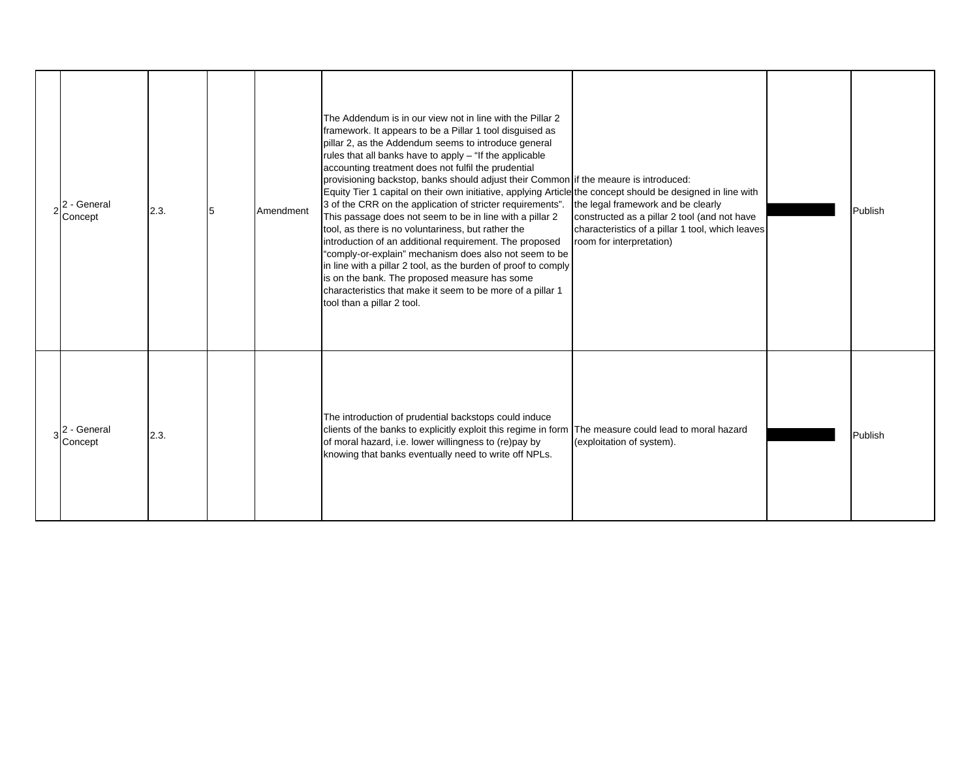| - General<br>Concept   | 2.3. | 5 | Amendment | The Addendum is in our view not in line with the Pillar 2<br>framework. It appears to be a Pillar 1 tool disguised as<br>pillar 2, as the Addendum seems to introduce general<br>rules that all banks have to apply - "If the applicable<br>accounting treatment does not fulfil the prudential<br>provisioning backstop, banks should adjust their Common if the meaure is introduced:<br>Equity Tier 1 capital on their own initiative, applying Article the concept should be designed in line with<br>3 of the CRR on the application of stricter requirements".<br>This passage does not seem to be in line with a pillar 2<br>tool, as there is no voluntariness, but rather the<br>introduction of an additional requirement. The proposed<br>"comply-or-explain" mechanism does also not seem to be<br>in line with a pillar 2 tool, as the burden of proof to comply<br>is on the bank. The proposed measure has some<br>characteristics that make it seem to be more of a pillar 1<br>tool than a pillar 2 tool. | the legal framework and be clearly<br>constructed as a pillar 2 tool (and not have<br>characteristics of a pillar 1 tool, which leaves<br>room for interpretation) | Publish |
|------------------------|------|---|-----------|----------------------------------------------------------------------------------------------------------------------------------------------------------------------------------------------------------------------------------------------------------------------------------------------------------------------------------------------------------------------------------------------------------------------------------------------------------------------------------------------------------------------------------------------------------------------------------------------------------------------------------------------------------------------------------------------------------------------------------------------------------------------------------------------------------------------------------------------------------------------------------------------------------------------------------------------------------------------------------------------------------------------------|--------------------------------------------------------------------------------------------------------------------------------------------------------------------|---------|
| 2 - General<br>Concept | 2.3. |   |           | The introduction of prudential backstops could induce<br>clients of the banks to explicitly exploit this regime in form<br>of moral hazard, i.e. lower willingness to (re)pay by<br>knowing that banks eventually need to write off NPLs.                                                                                                                                                                                                                                                                                                                                                                                                                                                                                                                                                                                                                                                                                                                                                                                  | The measure could lead to moral hazard<br>(exploitation of system).                                                                                                | Publish |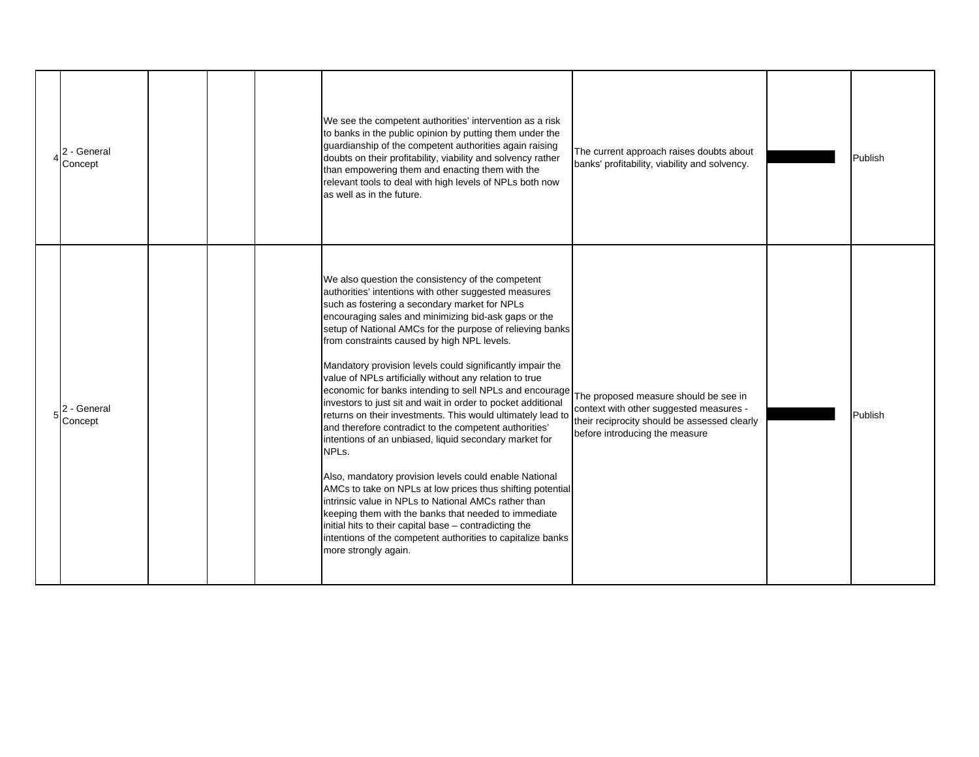| 2 - General<br>Concept |  | We see the competent authorities' intervention as a risk<br>to banks in the public opinion by putting them under the<br>guardianship of the competent authorities again raising<br>doubts on their profitability, viability and solvency rather<br>than empowering them and enacting them with the<br>relevant tools to deal with high levels of NPLs both now<br>as well as in the future.                                                                                                                                                                                                                                                                                                                                                                                                                                                                                                                                                                                                                                                                                                                                                                             | The current approach raises doubts about<br>banks' profitability, viability and solvency.                                                                          | Publish |
|------------------------|--|-------------------------------------------------------------------------------------------------------------------------------------------------------------------------------------------------------------------------------------------------------------------------------------------------------------------------------------------------------------------------------------------------------------------------------------------------------------------------------------------------------------------------------------------------------------------------------------------------------------------------------------------------------------------------------------------------------------------------------------------------------------------------------------------------------------------------------------------------------------------------------------------------------------------------------------------------------------------------------------------------------------------------------------------------------------------------------------------------------------------------------------------------------------------------|--------------------------------------------------------------------------------------------------------------------------------------------------------------------|---------|
| 2 - General<br>Concept |  | We also question the consistency of the competent<br>authorities' intentions with other suggested measures<br>such as fostering a secondary market for NPLs<br>encouraging sales and minimizing bid-ask gaps or the<br>setup of National AMCs for the purpose of relieving banks<br>from constraints caused by high NPL levels.<br>Mandatory provision levels could significantly impair the<br>value of NPLs artificially without any relation to true<br>economic for banks intending to sell NPLs and encourage<br>investors to just sit and wait in order to pocket additional<br>returns on their investments. This would ultimately lead to<br>and therefore contradict to the competent authorities'<br>intentions of an unbiased, liquid secondary market for<br>NPLs.<br>Also, mandatory provision levels could enable National<br>AMCs to take on NPLs at low prices thus shifting potential<br>intrinsic value in NPLs to National AMCs rather than<br>keeping them with the banks that needed to immediate<br>initial hits to their capital base - contradicting the<br>intentions of the competent authorities to capitalize banks<br>more strongly again. | The proposed measure should be see in<br>context with other suggested measures -<br>their reciprocity should be assessed clearly<br>before introducing the measure | Publish |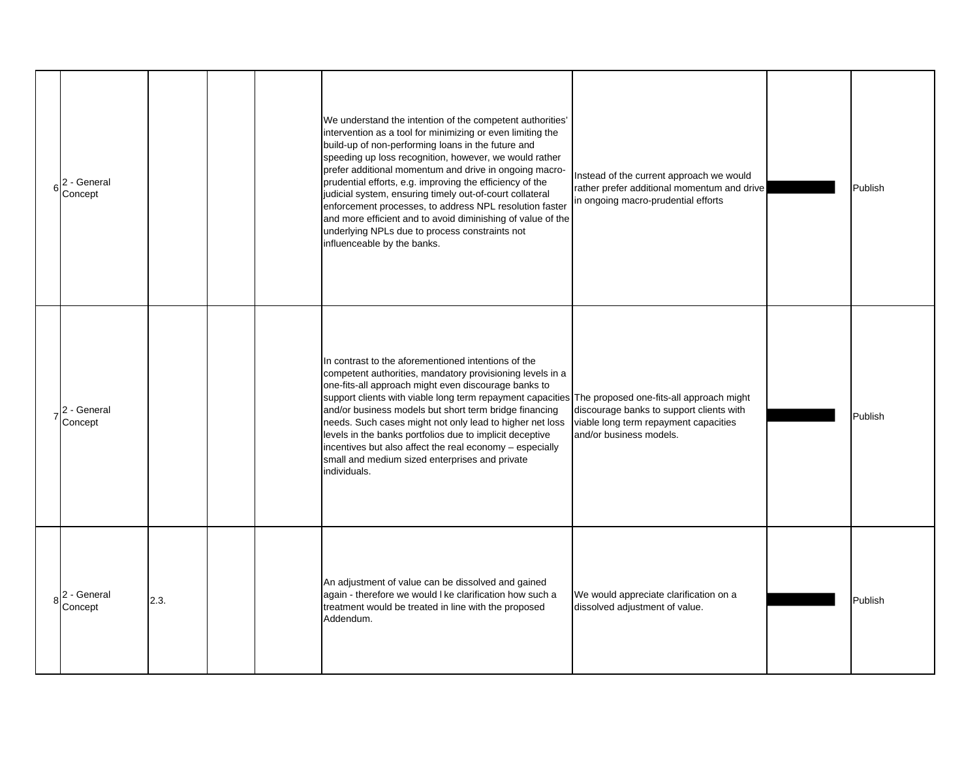| 6 | 2 - General<br>Concept |      |  | We understand the intention of the competent authorities'<br>intervention as a tool for minimizing or even limiting the<br>build-up of non-performing loans in the future and<br>speeding up loss recognition, however, we would rather<br>prefer additional momentum and drive in ongoing macro-<br>prudential efforts, e.g. improving the efficiency of the<br>judicial system, ensuring timely out-of-court collateral<br>enforcement processes, to address NPL resolution faster<br>and more efficient and to avoid diminishing of value of the<br>underlying NPLs due to process constraints not<br>influenceable by the banks. | Instead of the current approach we would<br>rather prefer additional momentum and drive<br>in ongoing macro-prudential efforts | Publish |
|---|------------------------|------|--|--------------------------------------------------------------------------------------------------------------------------------------------------------------------------------------------------------------------------------------------------------------------------------------------------------------------------------------------------------------------------------------------------------------------------------------------------------------------------------------------------------------------------------------------------------------------------------------------------------------------------------------|--------------------------------------------------------------------------------------------------------------------------------|---------|
|   | 2 - General<br>Concept |      |  | In contrast to the aforementioned intentions of the<br>competent authorities, mandatory provisioning levels in a<br>one-fits-all approach might even discourage banks to<br>support clients with viable long term repayment capacities The proposed one-fits-all approach might<br>and/or business models but short term bridge financing<br>needs. Such cases might not only lead to higher net loss<br>levels in the banks portfolios due to implicit deceptive<br>incentives but also affect the real economy - especially<br>small and medium sized enterprises and private<br>individuals.                                      | discourage banks to support clients with<br>viable long term repayment capacities<br>and/or business models.                   | Publish |
|   | 2 - General<br>Concept | 2.3. |  | An adjustment of value can be dissolved and gained<br>again - therefore we would I ke clarification how such a<br>treatment would be treated in line with the proposed<br>Addendum.                                                                                                                                                                                                                                                                                                                                                                                                                                                  | We would appreciate clarification on a<br>dissolved adjustment of value.                                                       | Publish |